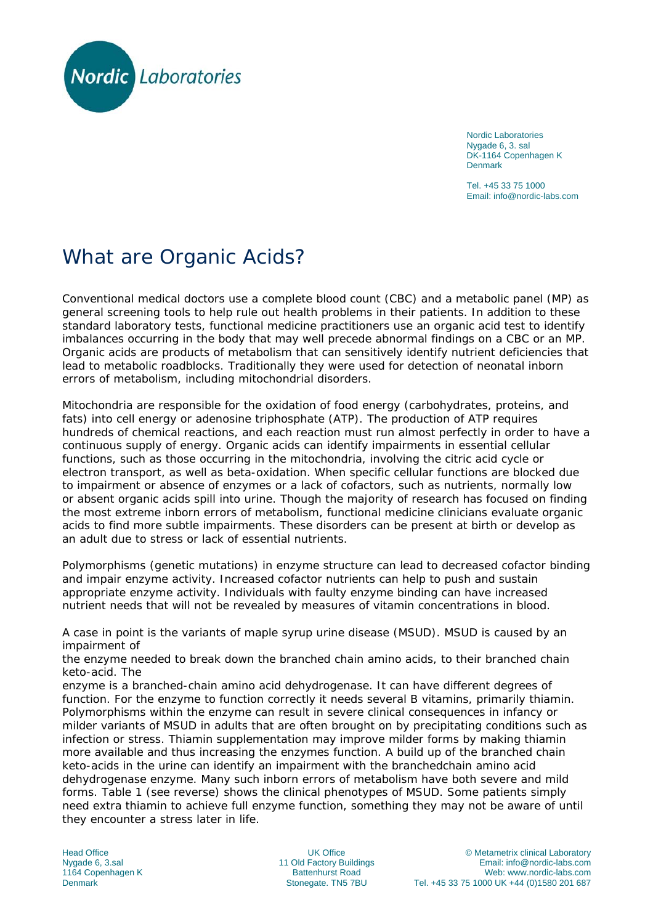

Nordic Laboratories Nygade 6, 3. sal DK-1164 Copenhagen K Denmark

Tel. +45 33 75 1000 Email: info@nordic-labs.com

## What are Organic Acids?

Conventional medical doctors use a complete blood count (CBC) and a metabolic panel (MP) as general screening tools to help rule out health problems in their patients. In addition to these standard laboratory tests, functional medicine practitioners use an organic acid test to identify imbalances occurring in the body that may well precede abnormal findings on a CBC or an MP. Organic acids are products of metabolism that can sensitively identify nutrient deficiencies that lead to metabolic roadblocks. Traditionally they were used for detection of neonatal inborn errors of metabolism, including mitochondrial disorders.

Mitochondria are responsible for the oxidation of food energy (carbohydrates, proteins, and fats) into cell energy or adenosine triphosphate (ATP). The production of ATP requires hundreds of chemical reactions, and each reaction must run almost perfectly in order to have a continuous supply of energy. Organic acids can identify impairments in essential cellular functions, such as those occurring in the mitochondria, involving the citric acid cycle or electron transport, as well as beta-oxidation. When specific cellular functions are blocked due to impairment or absence of enzymes or a lack of cofactors, such as nutrients, normally low or absent organic acids spill into urine. Though the majority of research has focused on finding the most extreme inborn errors of metabolism, functional medicine clinicians evaluate organic acids to find more subtle impairments. These disorders can be present at birth or develop as an adult due to stress or lack of essential nutrients.

Polymorphisms (genetic mutations) in enzyme structure can lead to decreased cofactor binding and impair enzyme activity. Increased cofactor nutrients can help to push and sustain appropriate enzyme activity. Individuals with faulty enzyme binding can have increased nutrient needs that will not be revealed by measures of vitamin concentrations in blood.

A case in point is the variants of maple syrup urine disease (MSUD). MSUD is caused by an impairment of

the enzyme needed to break down the branched chain amino acids, to their branched chain keto-acid. The

enzyme is a branched-chain amino acid dehydrogenase. It can have different degrees of function. For the enzyme to function correctly it needs several B vitamins, primarily thiamin. Polymorphisms within the enzyme can result in severe clinical consequences in infancy or milder variants of MSUD in adults that are often brought on by precipitating conditions such as infection or stress. Thiamin supplementation may improve milder forms by making thiamin more available and thus increasing the enzymes function. A build up of the branched chain keto-acids in the urine can identify an impairment with the branchedchain amino acid dehydrogenase enzyme. Many such inborn errors of metabolism have both severe and mild forms. Table 1 (see reverse) shows the clinical phenotypes of MSUD. Some patients simply need extra thiamin to achieve full enzyme function, something they may not be aware of until they encounter a stress later in life.